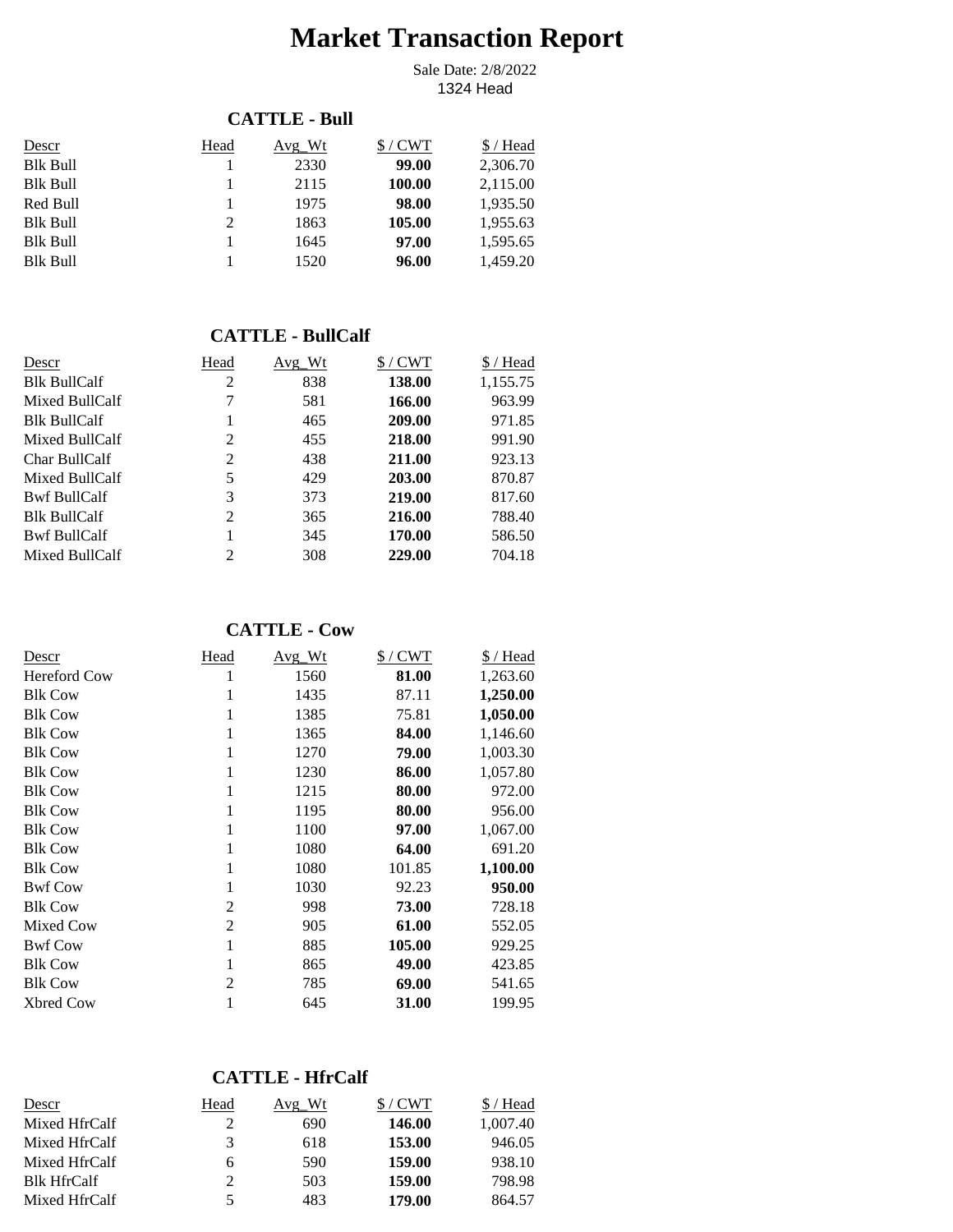# **Market Transaction Report**

1324 Head Sale Date: 2/8/2022

## **CATTLE - Bull**

| Descr    | Head | Avg Wt | $$/$ CWT | \$/Head  |
|----------|------|--------|----------|----------|
| Blk Bull |      | 2330   | 99.00    | 2,306.70 |
| Blk Bull |      | 2115   | 100.00   | 2,115.00 |
| Red Bull |      | 1975   | 98.00    | 1,935.50 |
| Blk Bull | 2    | 1863   | 105.00   | 1,955.63 |
| Blk Bull |      | 1645   | 97.00    | 1,595.65 |
| Blk Bull |      | 1520   | 96.00    | 1,459.20 |

#### **CATTLE - BullCalf**

| Descr               | Head | Avg Wt | $$/$ CWT | \$/Head  |
|---------------------|------|--------|----------|----------|
| <b>Blk BullCalf</b> | 2    | 838    | 138.00   | 1,155.75 |
| Mixed BullCalf      | 7    | 581    | 166.00   | 963.99   |
| <b>Blk BullCalf</b> |      | 465    | 209.00   | 971.85   |
| Mixed BullCalf      | 2    | 455    | 218.00   | 991.90   |
| Char BullCalf       | 2    | 438    | 211.00   | 923.13   |
| Mixed BullCalf      | 5    | 429    | 203.00   | 870.87   |
| <b>Bwf BullCalf</b> | 3    | 373    | 219.00   | 817.60   |
| <b>Blk BullCalf</b> | 2    | 365    | 216.00   | 788.40   |
| <b>Bwf BullCalf</b> |      | 345    | 170.00   | 586.50   |
| Mixed BullCalf      | 2    | 308    | 229.00   | 704.18   |

#### **CATTLE - Cow**

| Descr            | Head           | <u>Avg Wt</u> | $$/$ CWT | \$/Head  |
|------------------|----------------|---------------|----------|----------|
| Hereford Cow     |                | 1560          | 81.00    | 1,263.60 |
| <b>Blk Cow</b>   |                | 1435          | 87.11    | 1,250.00 |
| <b>Blk Cow</b>   |                | 1385          | 75.81    | 1,050.00 |
| <b>Blk Cow</b>   |                | 1365          | 84.00    | 1,146.60 |
| <b>Blk Cow</b>   |                | 1270          | 79.00    | 1,003.30 |
| <b>Blk Cow</b>   |                | 1230          | 86.00    | 1,057.80 |
| <b>Blk Cow</b>   |                | 1215          | 80.00    | 972.00   |
| <b>Blk Cow</b>   |                | 1195          | 80.00    | 956.00   |
| <b>Blk Cow</b>   |                | 1100          | 97.00    | 1,067.00 |
| <b>Blk Cow</b>   |                | 1080          | 64.00    | 691.20   |
| <b>Blk Cow</b>   |                | 1080          | 101.85   | 1,100.00 |
| <b>Bwf Cow</b>   |                | 1030          | 92.23    | 950.00   |
| <b>Blk Cow</b>   | 2              | 998           | 73.00    | 728.18   |
| Mixed Cow        | $\overline{2}$ | 905           | 61.00    | 552.05   |
| <b>Bwf Cow</b>   | 1              | 885           | 105.00   | 929.25   |
| <b>Blk Cow</b>   |                | 865           | 49.00    | 423.85   |
| <b>Blk Cow</b>   | 2              | 785           | 69.00    | 541.65   |
| <b>Xbred Cow</b> |                | 645           | 31.00    | 199.95   |

## **CATTLE - HfrCalf**

| Descr              | Head | Avg Wt | $/$ CWT | 'Head    |
|--------------------|------|--------|---------|----------|
| Mixed HfrCalf      |      | 690    | 146.00  | 1.007.40 |
| Mixed HfrCalf      | 3    | 618    | 153.00  | 946.05   |
| Mixed HfrCalf      | 6    | 590    | 159.00  | 938.10   |
| <b>Blk HfrCalf</b> | 2    | 503    | 159.00  | 798.98   |
| Mixed HfrCalf      |      | 483    | 179.00  | 864.57   |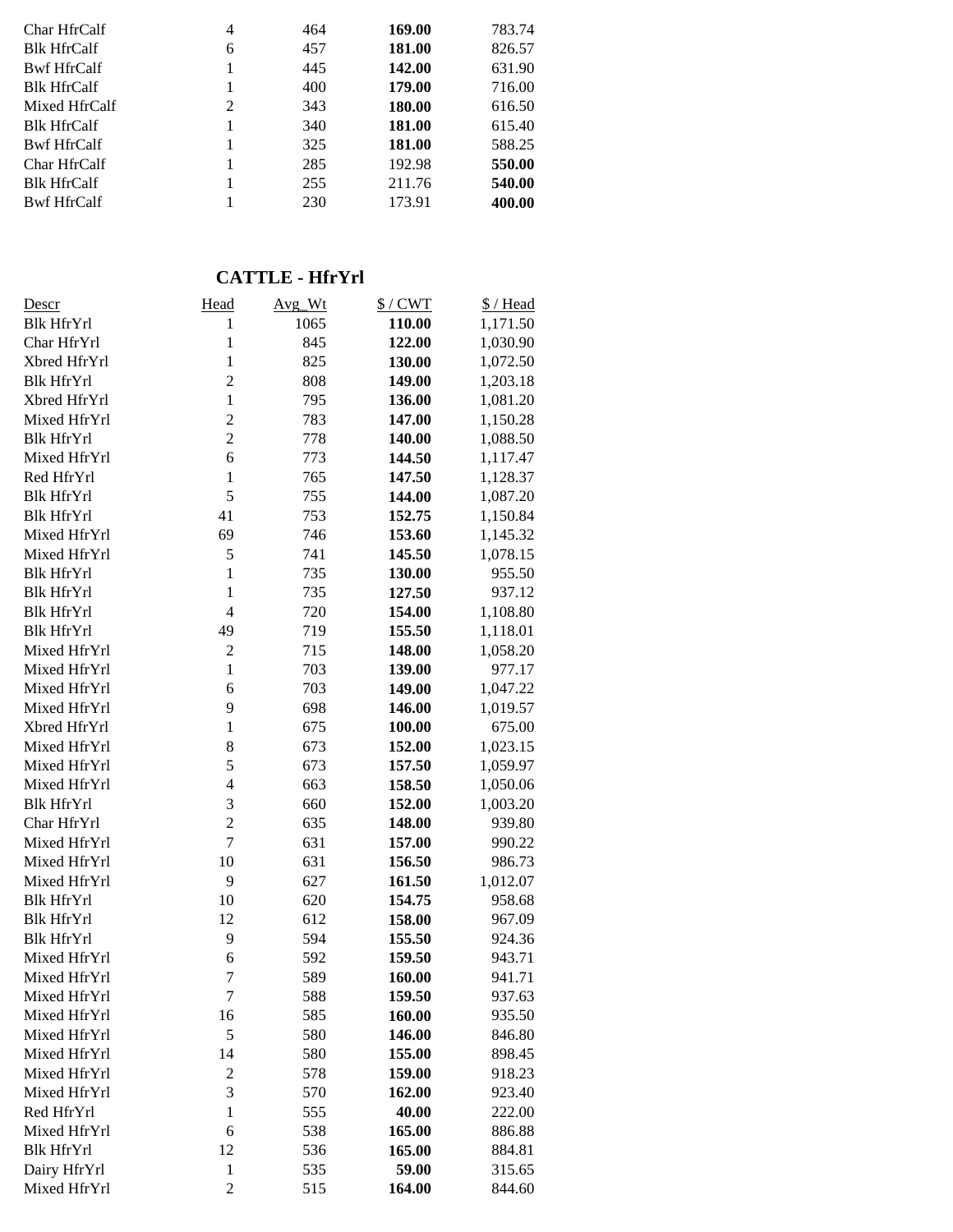| Char HfrCalf       | 4 | 464 | 169.00 | 783.74 |
|--------------------|---|-----|--------|--------|
| <b>Blk HfrCalf</b> | 6 | 457 | 181.00 | 826.57 |
| <b>Bwf HfrCalf</b> |   | 445 | 142.00 | 631.90 |
| <b>Blk HfrCalf</b> |   | 400 | 179.00 | 716.00 |
| Mixed HfrCalf      | 2 | 343 | 180.00 | 616.50 |
| <b>Blk HfrCalf</b> |   | 340 | 181.00 | 615.40 |
| <b>Bwf HfrCalf</b> | 1 | 325 | 181.00 | 588.25 |
| Char HfrCalf       |   | 285 | 192.98 | 550.00 |
| <b>Blk HfrCalf</b> |   | 255 | 211.76 | 540.00 |
| <b>Bwf HfrCalf</b> |   | 230 | 173.91 | 400.00 |
|                    |   |     |        |        |

## **CATTLE - HfrYrl**

| <u>Descr</u>      | Head           | Avg_Wt | $$/$ CWT | \$/Head  |
|-------------------|----------------|--------|----------|----------|
| <b>Blk HfrYrl</b> | 1              | 1065   | 110.00   | 1,171.50 |
| Char HfrYrl       | $\mathbf{1}$   | 845    | 122.00   | 1,030.90 |
| Xbred HfrYrl      | $\mathbf{1}$   | 825    | 130.00   | 1,072.50 |
| <b>Blk HfrYrl</b> | $\overline{c}$ | 808    | 149.00   | 1,203.18 |
| Xbred HfrYrl      | $\mathbf{1}$   | 795    | 136.00   | 1,081.20 |
| Mixed HfrYrl      | $\overline{c}$ | 783    | 147.00   | 1,150.28 |
| <b>Blk HfrYrl</b> | $\overline{2}$ | 778    | 140.00   | 1,088.50 |
| Mixed HfrYrl      | 6              | 773    | 144.50   | 1,117.47 |
| Red HfrYrl        | $\mathbf{1}$   | 765    | 147.50   | 1,128.37 |
| <b>Blk HfrYrl</b> | 5              | 755    | 144.00   | 1,087.20 |
| <b>Blk HfrYrl</b> | 41             | 753    | 152.75   | 1,150.84 |
| Mixed HfrYrl      | 69             | 746    | 153.60   | 1,145.32 |
| Mixed HfrYrl      | 5              | 741    | 145.50   | 1,078.15 |
| <b>Blk HfrYrl</b> | $\mathbf{1}$   | 735    | 130.00   | 955.50   |
| <b>Blk HfrYrl</b> | $\mathbf{1}$   | 735    | 127.50   | 937.12   |
| <b>Blk HfrYrl</b> | $\overline{4}$ | 720    | 154.00   | 1,108.80 |
| <b>Blk HfrYrl</b> | 49             | 719    | 155.50   | 1,118.01 |
| Mixed HfrYrl      | $\overline{c}$ | 715    | 148.00   | 1,058.20 |
| Mixed HfrYrl      | $\mathbf{1}$   | 703    | 139.00   | 977.17   |
| Mixed HfrYrl      | 6              | 703    | 149.00   | 1,047.22 |
| Mixed HfrYrl      | 9              | 698    | 146.00   | 1,019.57 |
| Xbred HfrYrl      | $\mathbf{1}$   | 675    | 100.00   | 675.00   |
| Mixed HfrYrl      | 8              | 673    | 152.00   | 1,023.15 |
| Mixed HfrYrl      | 5              | 673    | 157.50   | 1,059.97 |
| Mixed HfrYrl      | $\overline{4}$ | 663    | 158.50   | 1,050.06 |
| <b>Blk HfrYrl</b> | 3              | 660    | 152.00   | 1,003.20 |
| Char HfrYrl       | $\overline{c}$ | 635    | 148.00   | 939.80   |
| Mixed HfrYrl      | $\overline{7}$ | 631    | 157.00   | 990.22   |
| Mixed HfrYrl      | 10             | 631    | 156.50   | 986.73   |
| Mixed HfrYrl      | 9              | 627    | 161.50   | 1,012.07 |
| <b>Blk HfrYrl</b> | 10             | 620    | 154.75   | 958.68   |
| <b>Blk HfrYrl</b> | 12             | 612    | 158.00   | 967.09   |
| <b>Blk HfrYrl</b> | 9              | 594    | 155.50   | 924.36   |
| Mixed HfrYrl      | 6              | 592    | 159.50   | 943.71   |
| Mixed HfrYrl      | 7              | 589    | 160.00   | 941.71   |
| Mixed HfrYrl      | 7              | 588    | 159.50   | 937.63   |
| Mixed HfrYrl      | 16             | 585    | 160.00   | 935.50   |
| Mixed HfrYrl      | 5              | 580    | 146.00   | 846.80   |
| Mixed HfrYrl      | 14             | 580    | 155.00   | 898.45   |
| Mixed HfrYrl      | $\overline{2}$ | 578    | 159.00   | 918.23   |
| Mixed HfrYrl      | 3              | 570    | 162.00   | 923.40   |
| Red HfrYrl        | $\mathbf{1}$   | 555    | 40.00    | 222.00   |
| Mixed HfrYrl      | 6              | 538    | 165.00   | 886.88   |
| <b>Blk HfrYrl</b> | 12             | 536    | 165.00   | 884.81   |
| Dairy HfrYrl      | $\mathbf{1}$   | 535    | 59.00    | 315.65   |
| Mixed HfrYrl      | $\overline{c}$ | 515    | 164.00   | 844.60   |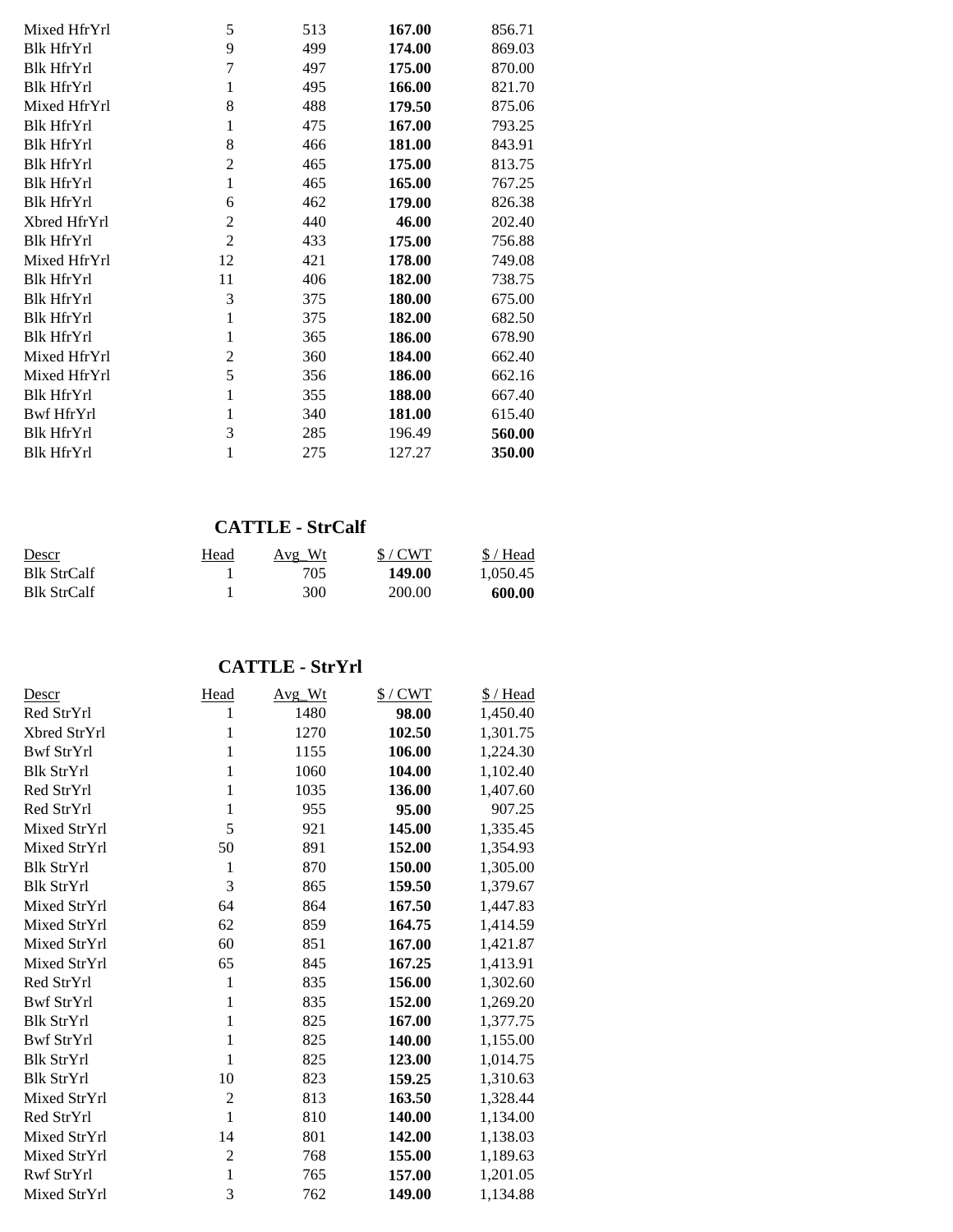| Mixed HfrYrl      | 5              | 513 | 167.00 | 856.71 |
|-------------------|----------------|-----|--------|--------|
| <b>Blk HfrYrl</b> | 9              | 499 | 174.00 | 869.03 |
| <b>Blk HfrYrl</b> | 7              | 497 | 175.00 | 870.00 |
| <b>Blk HfrYrl</b> | 1              | 495 | 166.00 | 821.70 |
| Mixed HfrYrl      | 8              | 488 | 179.50 | 875.06 |
| <b>Blk HfrYrl</b> | 1              | 475 | 167.00 | 793.25 |
| <b>Blk HfrYrl</b> | 8              | 466 | 181.00 | 843.91 |
| <b>Blk HfrYrl</b> | $\overline{2}$ | 465 | 175.00 | 813.75 |
| <b>Blk HfrYrl</b> | 1              | 465 | 165.00 | 767.25 |
| <b>Blk HfrYrl</b> | 6              | 462 | 179.00 | 826.38 |
| Xbred HfrYrl      | 2              | 440 | 46.00  | 202.40 |
| <b>Blk HfrYrl</b> | $\overline{2}$ | 433 | 175.00 | 756.88 |
| Mixed HfrYrl      | 12             | 421 | 178.00 | 749.08 |
| <b>Blk HfrYrl</b> | 11             | 406 | 182.00 | 738.75 |
| <b>Blk HfrYrl</b> | 3              | 375 | 180.00 | 675.00 |
| <b>Blk HfrYrl</b> | 1              | 375 | 182.00 | 682.50 |
| <b>Blk HfrYrl</b> | 1              | 365 | 186.00 | 678.90 |
| Mixed HfrYrl      | $\overline{c}$ | 360 | 184.00 | 662.40 |
| Mixed HfrYrl      | 5              | 356 | 186.00 | 662.16 |
| <b>Blk HfrYrl</b> | 1              | 355 | 188.00 | 667.40 |
| Bwf HfrYrl        | 1              | 340 | 181.00 | 615.40 |
| <b>Blk HfrYrl</b> | 3              | 285 | 196.49 | 560.00 |
| <b>Blk HfrYrl</b> | 1              | 275 | 127.27 | 350.00 |

### **CATTLE - StrCalf**

| Descr              | <u>Head</u> | Avg Wt | S/CWT  | $$/$ Head |
|--------------------|-------------|--------|--------|-----------|
| <b>Blk StrCalf</b> |             | 705    | 149.00 | 1.050.45  |
| <b>Blk StrCalf</b> |             | 300    | 200.00 | 600.00    |

**CATTLE - StrYrl**

| Descr             | Head           | Avg Wt | $$/$ CWT | $$/$ Head |
|-------------------|----------------|--------|----------|-----------|
| Red StrYrl        | 1              | 1480   | 98.00    | 1,450.40  |
| Xbred StrYrl      | 1              | 1270   | 102.50   | 1,301.75  |
| <b>Bwf StrYrl</b> | 1              | 1155   | 106.00   | 1,224.30  |
| <b>Blk StrYrl</b> | $\mathbf{1}$   | 1060   | 104.00   | 1,102.40  |
| Red StrYrl        | $\mathbf{1}$   | 1035   | 136.00   | 1,407.60  |
| Red StrYrl        | 1              | 955    | 95.00    | 907.25    |
| Mixed StrYrl      | 5              | 921    | 145.00   | 1,335.45  |
| Mixed StrYrl      | 50             | 891    | 152.00   | 1,354.93  |
| <b>Blk StrYrl</b> | $\mathbf{1}$   | 870    | 150.00   | 1,305.00  |
| <b>Blk StrYrl</b> | 3              | 865    | 159.50   | 1,379.67  |
| Mixed StrYrl      | 64             | 864    | 167.50   | 1,447.83  |
| Mixed StrYrl      | 62             | 859    | 164.75   | 1,414.59  |
| Mixed StrYrl      | 60             | 851    | 167.00   | 1,421.87  |
| Mixed StrYrl      | 65             | 845    | 167.25   | 1,413.91  |
| Red StrYrl        | $\mathbf{1}$   | 835    | 156.00   | 1,302.60  |
| <b>Bwf StrYrl</b> | $\mathbf{1}$   | 835    | 152.00   | 1,269.20  |
| <b>Blk StrYrl</b> | $\mathbf{1}$   | 825    | 167.00   | 1,377.75  |
| <b>Bwf StrYrl</b> | $\mathbf{1}$   | 825    | 140.00   | 1,155.00  |
| <b>Blk StrYrl</b> | 1              | 825    | 123.00   | 1,014.75  |
| <b>Blk StrYrl</b> | 10             | 823    | 159.25   | 1,310.63  |
| Mixed StrYrl      | $\overline{2}$ | 813    | 163.50   | 1,328.44  |
| Red StrYrl        | $\mathbf{1}$   | 810    | 140.00   | 1,134.00  |
| Mixed StrYrl      | 14             | 801    | 142.00   | 1,138.03  |
| Mixed StrYrl      | $\overline{c}$ | 768    | 155.00   | 1,189.63  |
| Rwf StrYrl        | $\mathbf{1}$   | 765    | 157.00   | 1,201.05  |
| Mixed StrYrl      | 3              | 762    | 149.00   | 1,134.88  |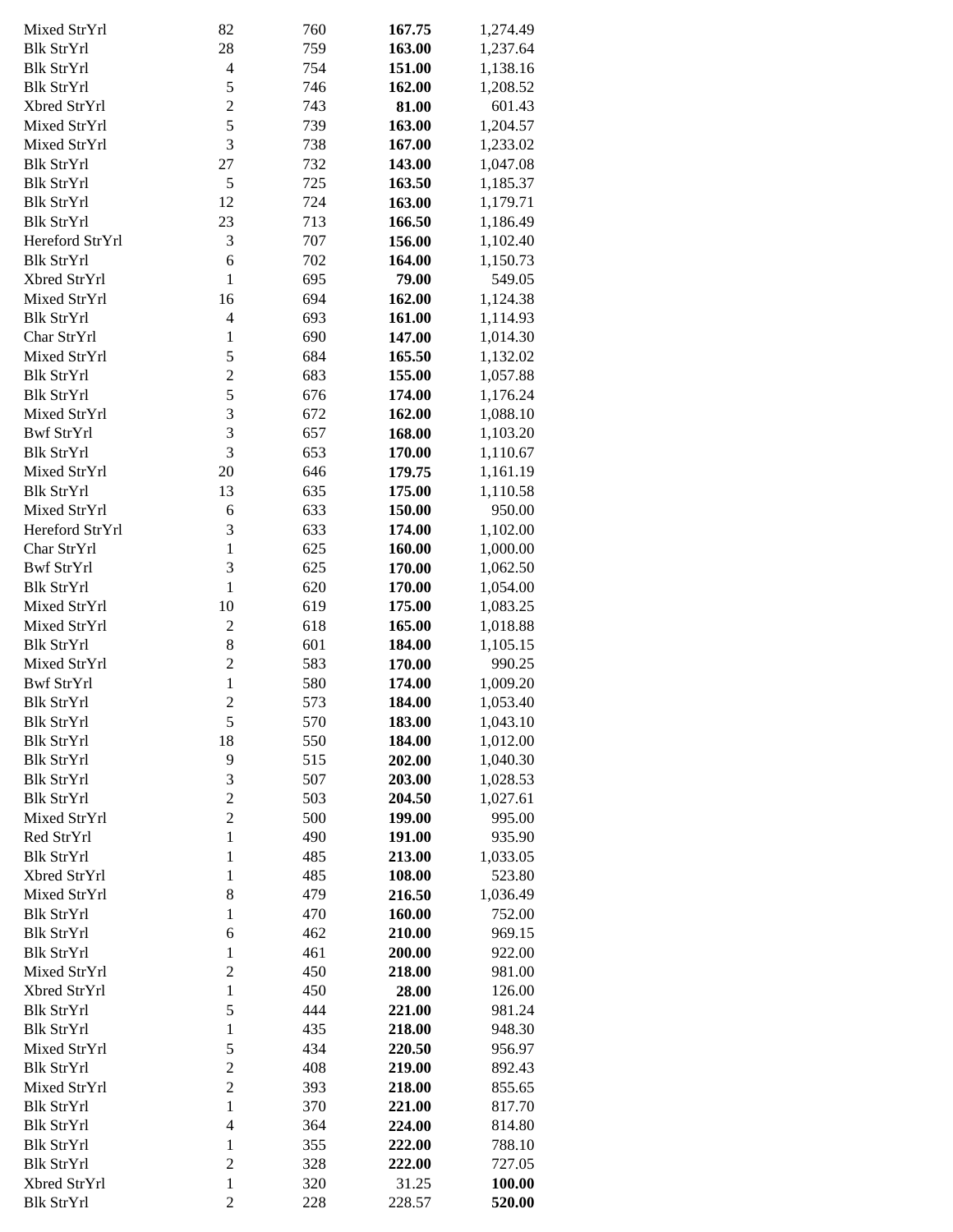| Mixed StrYrl      | 82             | 760 | 167.75 | 1,274.49 |
|-------------------|----------------|-----|--------|----------|
| <b>Blk StrYrl</b> | 28             | 759 | 163.00 | 1,237.64 |
|                   |                |     |        |          |
| <b>Blk StrYrl</b> | $\overline{4}$ | 754 | 151.00 | 1,138.16 |
| <b>Blk StrYrl</b> | 5              | 746 | 162.00 | 1,208.52 |
| Xbred StrYrl      | $\overline{c}$ | 743 | 81.00  | 601.43   |
| Mixed StrYrl      | 5              | 739 | 163.00 | 1,204.57 |
| Mixed StrYrl      | 3              | 738 | 167.00 | 1,233.02 |
| <b>Blk StrYrl</b> | 27             | 732 | 143.00 | 1,047.08 |
| <b>Blk StrYrl</b> | 5              | 725 | 163.50 | 1,185.37 |
|                   |                |     |        |          |
| <b>Blk StrYrl</b> | 12             | 724 | 163.00 | 1,179.71 |
| <b>Blk StrYrl</b> | 23             | 713 | 166.50 | 1,186.49 |
| Hereford StrYrl   | 3              | 707 | 156.00 | 1,102.40 |
| <b>Blk StrYrl</b> | 6              | 702 | 164.00 | 1,150.73 |
| Xbred StrYrl      | $\mathbf{1}$   | 695 | 79.00  | 549.05   |
| Mixed StrYrl      | 16             | 694 | 162.00 | 1,124.38 |
| <b>Blk StrYrl</b> | $\overline{4}$ | 693 | 161.00 | 1,114.93 |
| Char StrYrl       | $\mathbf{1}$   | 690 | 147.00 | 1,014.30 |
| Mixed StrYrl      | 5              | 684 | 165.50 | 1,132.02 |
|                   |                |     |        |          |
| <b>Blk StrYrl</b> | $\overline{2}$ | 683 | 155.00 | 1,057.88 |
| <b>Blk StrYrl</b> | 5              | 676 | 174.00 | 1,176.24 |
| Mixed StrYrl      | 3              | 672 | 162.00 | 1,088.10 |
| <b>Bwf StrYrl</b> | 3              | 657 | 168.00 | 1,103.20 |
| <b>Blk StrYrl</b> | 3              | 653 | 170.00 | 1,110.67 |
| Mixed StrYrl      | 20             | 646 | 179.75 | 1,161.19 |
| <b>Blk StrYrl</b> | 13             | 635 | 175.00 | 1,110.58 |
| Mixed StrYrl      | 6              | 633 | 150.00 | 950.00   |
|                   |                |     |        |          |
| Hereford StrYrl   | 3              | 633 | 174.00 | 1,102.00 |
| Char StrYrl       | $\mathbf{1}$   | 625 | 160.00 | 1,000.00 |
| <b>Bwf StrYrl</b> | 3              | 625 | 170.00 | 1,062.50 |
| <b>Blk StrYrl</b> | $\mathbf{1}$   | 620 | 170.00 | 1,054.00 |
| Mixed StrYrl      | 10             | 619 | 175.00 | 1,083.25 |
| Mixed StrYrl      | $\overline{2}$ | 618 | 165.00 | 1,018.88 |
| <b>Blk StrYrl</b> | 8              | 601 | 184.00 | 1,105.15 |
| Mixed StrYrl      | $\overline{c}$ | 583 | 170.00 | 990.25   |
| <b>Bwf StrYrl</b> | $\mathbf{1}$   | 580 |        | 1,009.20 |
|                   |                |     | 174.00 |          |
| <b>Blk StrYrl</b> | $\overline{c}$ | 573 | 184.00 | 1,053.40 |
| <b>Blk StrYrl</b> | 5              | 570 | 183.00 | 1,043.10 |
| <b>Blk StrYrl</b> | 18             | 550 | 184.00 | 1,012.00 |
| <b>Blk StrYrl</b> | 9              | 515 | 202.00 | 1,040.30 |
| <b>Blk StrYrl</b> | 3              | 507 | 203.00 | 1,028.53 |
| <b>Blk StrYrl</b> | $\overline{c}$ | 503 | 204.50 | 1,027.61 |
| Mixed StrYrl      | $\overline{c}$ | 500 | 199.00 | 995.00   |
| Red StrYrl        | $\mathbf{1}$   | 490 | 191.00 | 935.90   |
| <b>Blk StrYrl</b> |                |     |        |          |
|                   | $\mathbf{1}$   | 485 | 213.00 | 1,033.05 |
| Xbred StrYrl      | $\mathbf{1}$   | 485 | 108.00 | 523.80   |
| Mixed StrYrl      | 8              | 479 | 216.50 | 1,036.49 |
| <b>Blk StrYrl</b> | $\mathbf{1}$   | 470 | 160.00 | 752.00   |
| <b>Blk StrYrl</b> | 6              | 462 | 210.00 | 969.15   |
| <b>Blk StrYrl</b> | $\mathbf{1}$   | 461 | 200.00 | 922.00   |
| Mixed StrYrl      | $\overline{c}$ | 450 | 218.00 | 981.00   |
| Xbred StrYrl      | $\mathbf{1}$   | 450 | 28.00  | 126.00   |
| <b>Blk StrYrl</b> | 5              | 444 | 221.00 | 981.24   |
| <b>Blk StrYrl</b> | $\mathbf{1}$   | 435 | 218.00 | 948.30   |
| Mixed StrYrl      | 5              | 434 |        |          |
|                   |                |     | 220.50 | 956.97   |
| <b>Blk StrYrl</b> | $\overline{c}$ | 408 | 219.00 | 892.43   |
| Mixed StrYrl      | $\overline{c}$ | 393 | 218.00 | 855.65   |
| <b>Blk StrYrl</b> | $\mathbf{1}$   | 370 | 221.00 | 817.70   |
| <b>Blk StrYrl</b> | $\overline{4}$ | 364 | 224.00 | 814.80   |
| <b>Blk StrYrl</b> | $\mathbf{1}$   | 355 | 222.00 | 788.10   |
| <b>Blk StrYrl</b> | $\overline{c}$ | 328 | 222.00 | 727.05   |
| Xbred StrYrl      | $\mathbf{1}$   | 320 | 31.25  | 100.00   |
| <b>Blk StrYrl</b> | $\overline{c}$ | 228 | 228.57 | 520.00   |